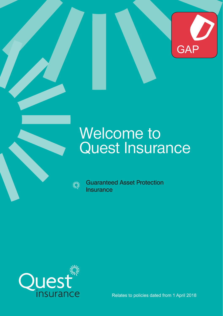

## Welcome to Quest Insurance

**NINS** 

**Guaranteed Asset Protection Insurance**



Relates to policies dated from 1 April 2018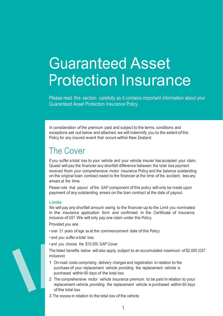# Guaranteed Asset Protection Insurance

Please read this section carefully as it contains important information about your Guaranteed Asset Protection Insurance Policy.

In consideration of the premium paid and subject to the terms, conditions and exceptions set out below and attached, we will indemnify you to the extent of this Policy for any insured event that occurs within New Zealand.

### The Cover

If you suffer a total loss to your vehicle and your vehicle insurer has accepted your claim, Quest will pay the financier any shortfall difference between the total loss payment received from your comprehensive motor insurance Policy and the balance outstanding on the original loan contract owed to the financier at the time of the accident, less any arrears at the time.

Please note that payout of the GAP component of this policy will only be made upon payment of any outstanding arrears on the loan contract at the date of payout.

#### **Limits**

We will pay any shortfall amount owing to the financier up to the Limit you nominated in the insurance application form and confirmed in the Certificate of Insurance, inclusive of GST. We will only pay one claim under this Policy.

Provided you are

- over 21 years of age as at the commencement date of this Policy
- and you suffer a total loss,
- and you choose the \$10,000 GAP Cover

The listed benefits below will also apply, subject to an accumulated maximum of \$2,500 (GST inclusive):

- 1 On-road costs comprising delivery charges and registration in relation to the purchase of your replacement vehicle providing the replacement vehicle is purchased within 60 days of the total loss.
- 2 The comprehensive motor vehicle insurance premium to be paid in relation to your replacement vehicle, providing the replacement vehicle is purchased within 60 days of the total loss.
- 3 The excess in relation to the total loss of the vehicle.

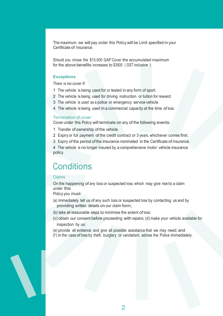The maximum we will pay under this Policy will be Limit specified in your Certificate of Insurance.

Should you chose the \$15,000 GAP Cover the accumulated maximum for the above benefits increases to \$3500 ( GST inclusive )

#### **Exceptions**

There is no cover if:

- 1 The vehicle is being used for or tested in any form of sport.
- 2 The vehicle is being used for driving instruction or tuition for reward.
- 3 The vehicle is used as a police or emergency service vehicle.
- 4 The vehicle is being used in a commercial capacity at the time of loss.

#### Termination of cover

Cover under this Policy will terminate on any of the following events:

- 1 Transfer of ownership of the vehicle.
- 2 Expiry or full payment of the credit contract or 3 years, whichever comes first.
- 3 Expiry of the period of the insurance nominated in the Certificate of Insurance.

4 The vehicle is no longer insured by a comprehensive motor vehicle insurance policy.

### **Conditions**

#### Claims

On the happening of any loss or suspected loss, which may give rise to a claim under this

Policy you must:

- (a) immediately tell us of any such loss or suspected loss by contacting us and by providing written details on our claim form;
- (b) take all reasonable steps to minimise the extent of loss;
- (c) obtain our consent before proceeding with repairs; (d) make your vehicle available for inspection by us;
- (e) provide all evidence and give all possible assistance that we may need, and
- (f ) in the case of loss by theft, burglary or vandalism, advise the Police immediately.

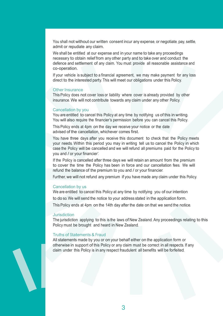You shall not without our written consent incur any expense, or negotiate, pay, settle, admit or repudiate any claim.

We shall be entitled at our expense and in your name to take any proceedings necessary to obtain relief from any other party and to take over and conduct the defence and settlement of any claim. You must provide all reasonable assistance and co-operation.

If your vehicle is subject to a financial agreement, we may make payment for any loss direct to the interested party. This will meet our obligations under this Policy.

#### Other Insurance

This Policy does not cover loss or liability where cover is already provided by other insurance. We will not contribute towards any claim under any other Policy.

#### Cancellation by you

You are entitled to cancel this Policy at any time by notifying us of this in writing. You will also require the financier's permission before you can cancel this Policy.

This Policy ends at 4pm on the day we receive your notice or the date advised of the cancellation, whichever comes first.

You have three days after you receive this document to check that the Policy meets your needs. Within this period you may in writing tell us to cancel the Policy in which case the Policy will be cancelled and we will refund all premiums paid for the Policy to you and / or your financier'.

If the Policy is cancelled after three days we will retain an amount from the premium to cover the time the Policy has been in force and our cancellation fees. We will refund the balance of the premium to you and / or your financier.

Further, we will not refund any premium if you have made any claim under this Policy.

#### Cancellation by us

We are entitled to cancel this Policy at any time by notifying you of our intention to do so. We will send the notice to your address stated in the application form. This Policy ends at 4pm on the 14th day after the date on that we send the notice.

#### **Jurisdiction**

The jurisdiction applying to this is the laws of New Zealand. Any proceedings relating to this Policy must be brought and heard in New Zealand.

#### Truths of Statements & Fraud

All statements made by you or on your behalf either on the application form or otherwise in support of this Policy or any claim must be correct in all respects. If any claim under this Policy is in any respect fraudulent all benefits will be forfeited.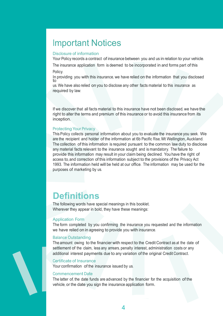### Important Notices

#### Disclosure of information

Your Policy records a contract of insurance between you and us in relation to your vehicle.

The insurance application form is deemed to be incorporated in and forms part of this Policy.

In providing you with this insurance, we have relied on the information that you disclosed to

us. We have also relied on you to disclose any other facts material to this insurance as required by law.

If we discover that all facts material to this insurance have not been disclosed, we have the right to alter the terms and premium of this insurance or to avoid this insurance from its inception.

#### **Protecting Your Privacy**

mcepuon.<br>Protecting Your Privacy<br>This Policy collects personal information about you to evaluate the insurance you seek. We are the recipient and holder of the information at 6b Pacific Rise, Mt Wellington, Auckland. The collection of this information is required pursuant to the common law duty to disclose any material facts relevant to the insurance sought and is mandatory. The failure to provide this information may result in your claim being declined. You have the right of access to, and correction of this information subject to the provisions of the Privacy Act 1993. The information held will be held at our office. The information may be used for the purposes of marketing by us.

## **Definitions**

The following words have special meanings in this booklet. Wherever they appear in bold, they have these meanings:

#### Application Form

The form completed by you confirming the insurance you requested and the information we have relied on in agreeing to provide you with insurance.

#### Balance Outstanding

The amount owing to the financier with respect to the Credit Contract as at the date of settlement of the claim, less any arrears, penalty interest, administration costs or any additional interest payments due to any variation of the original Credit Contract.

#### Certificate of Insurance

Your confirmation of the insurance issued by us.

#### Commencement Date

The latter of, the date funds are advanced by the financier for the acquisition of the vehicle, or the date you sign the insurance application form.

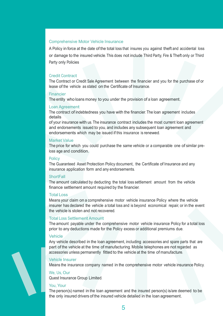#### Comprehensive Motor Vehicle Insurance

A Policy in force at the date of the total loss that insures you against theft and accidental loss or damage to the insured vehicle. This does not include Third Party, Fire & Theft only or Third Party only Policies

#### Credit Contract

The Contract or Credit Sale Agreement between the financier and you for the purchase of or lease of the vehicle as stated on the Certificate of Insurance.

#### Financier

The entity who loans money to you under the provision of a loan agreement.

#### Loan Agreement

The contract of indebtedness you have with the financier. The loan agreement includes details

of your insurance with us. The insurance contract includes the most current loan agreement and endorsements issued to you, and includes any subsequent loan agreement and endorsements which may be issued if this insurance is renewed.

#### Market Value

The price for which you could purchase the same vehicle or a comparable one of similar preloss age and condition.

#### **Policy**

The Guaranteed Asset Protection Policy document, the Certificate of Insurance and any insurance application form and any endorsements.

#### **ShortFall**

The amount calculated by deducting the total loss settlement amount from the vehicle finance settlement amount required by the financier.

#### **Total Loss**

Means your claim on a comprehensive motor vehicle insurance Policy where the vehicle insurer has declared the vehicle a total loss and is beyond economical repair, or in the event the vehicle is stolen and not recovered.

#### **Total Loss Settlement Amount**

The amount payable under the comprehensive motor vehicle insurance Policy for a total loss prior to any deductions made for the Policy excess or additional premiums due.

#### Vehicle

Any vehicle described in the loan agreement, including accessories and spare parts that are part of the vehicle at the time of manufacturing. Mobile telephones are not regarded as accessories unless permanently fitted to the vehicle at the time of manufacture.

#### Vehicle Insurer

Means the insurance company named in the comprehensive motor vehicle insurance Policy.

#### We, Us, Our

Quest Insurance Group Limited.

#### You, Your

The person(s) named in the loan agreement and the insured person(s) is/are deemed to be the only insured drivers of the insured vehicle detailed in the loan agreement.